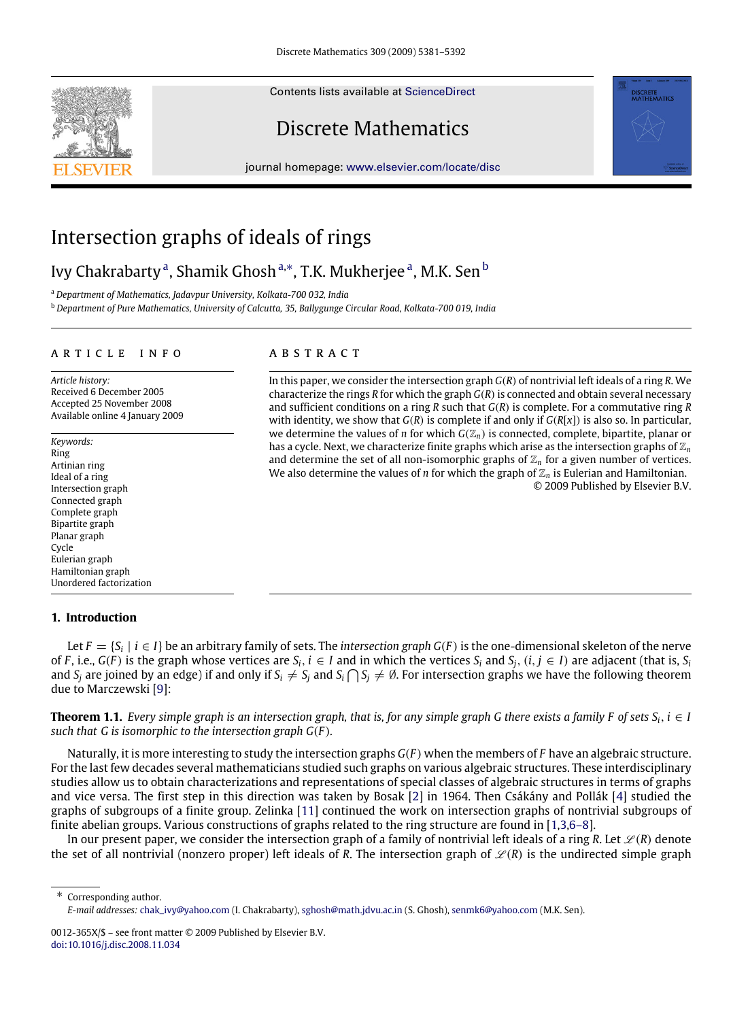Contents lists available at [ScienceDirect](http://www.elsevier.com/locate/disc)

# Discrete Mathematics

journal homepage: [www.elsevier.com/locate/disc](http://www.elsevier.com/locate/disc)



## Intersection graphs of ideals of rings

### Ivy Ch[a](#page-0-0)krabarty<sup>a</sup>, Shamik Ghosh<sup>[a,](#page-0-0)</sup>\*, T.K. Mukherjee<sup>a</sup>, M.K. Sen <sup>[b](#page-0-2)</sup>

<span id="page-0-0"></span><sup>a</sup> *Department of Mathematics, Jadavpur University, Kolkata-700 032, India*

<span id="page-0-2"></span><sup>b</sup> *Department of Pure Mathematics, University of Calcutta, 35, Ballygunge Circular Road, Kolkata-700 019, India*

#### a r t i c l e i n f o

*Article history:* Received 6 December 2005 Accepted 25 November 2008 Available online 4 January 2009

*Keywords:* Ring Artinian ring Ideal of a ring Intersection graph Connected graph Complete graph Bipartite graph Planar graph Cycle Eulerian graph Hamiltonian graph Unordered factorization

#### **1. Introduction**

### a b s t r a c t

In this paper, we consider the intersection graph *G*(*R*) of nontrivial left ideals of a ring *R*. We characterize the rings *R* for which the graph *G*(*R*)is connected and obtain several necessary and sufficient conditions on a ring *R* such that *G*(*R*) is complete. For a commutative ring *R* with identity, we show that *G*(*R*) is complete if and only if *G*(*R*[*x*]) is also so. In particular, we determine the values of *n* for which  $G(\mathbb{Z}_n)$  is connected, complete, bipartite, planar or has a cycle. Next, we characterize finite graphs which arise as the intersection graphs of Z*<sup>n</sup>* and determine the set of all non-isomorphic graphs of  $\mathbb{Z}_n$  for a given number of vertices. We also determine the values of *n* for which the graph of  $\mathbb{Z}_n$  is Eulerian and Hamiltonian. © 2009 Published by Elsevier B.V.

**DISCRETE**<br>MATHEMATICS

Let  $F = \{S_i \mid i \in I\}$  be an arbitrary family of sets. The *intersection graph G(F)* is the one-dimensional skeleton of the nerve of F, i.e.,  $G(F)$  is the graph whose vertices are  $S_i$ ,  $i \in I$  and in which the vertices  $S_i$  and  $S_i$ ,  $(i, j \in I)$  are adjacent (that is,  $S_i$ and  $S_j$  are joined by an edge) if and only if  $S_i \neq S_j$  and  $S_i \bigcap S_j \neq \emptyset$ . For intersection graphs we have the following theorem due to Marczewski [\[9\]](#page-11-0):

**Theorem 1.1.** *Every simple graph is an intersection graph, that is, for any simple graph G there exists a family F of sets*  $S_i$ *,*  $i \in I$ *such that G is isomorphic to the intersection graph G*(*F* )*.*

Naturally, it is more interesting to study the intersection graphs *G*(*F* ) when the members of *F* have an algebraic structure. For the last few decades several mathematicians studied such graphs on various algebraic structures. These interdisciplinary studies allow us to obtain characterizations and representations of special classes of algebraic structures in terms of graphs and vice versa. The first step in this direction was taken by Bosak [\[2\]](#page-11-1) in 1964. Then Csákány and Pollák [\[4\]](#page-11-2) studied the graphs of subgroups of a finite group. Zelinka [\[11\]](#page-11-3) continued the work on intersection graphs of nontrivial subgroups of finite abelian groups. Various constructions of graphs related to the ring structure are found in [\[1,](#page-11-4)[3,](#page-11-5)[6–8\]](#page-11-6).

In our present paper, we consider the intersection graph of a family of nontrivial left ideals of a ring  $R$ . Let  $\mathcal{L}(R)$  denote the set of all nontrivial (nonzero proper) left ideals of *R*. The intersection graph of  $\mathcal{L}(R)$  is the undirected simple graph

<span id="page-0-1"></span>∗ Corresponding author. *E-mail addresses:* [chak\\_ivy@yahoo.com](mailto:chak_ivy@yahoo.com) (I. Chakrabarty), [sghosh@math.jdvu.ac.in](mailto:sghosh@math.jdvu.ac.in) (S. Ghosh), [senmk6@yahoo.com](mailto:senmk6@yahoo.com) (M.K. Sen).

<sup>0012-365</sup>X/\$ – see front matter © 2009 Published by Elsevier B.V. [doi:10.1016/j.disc.2008.11.034](http://dx.doi.org/10.1016/j.disc.2008.11.034)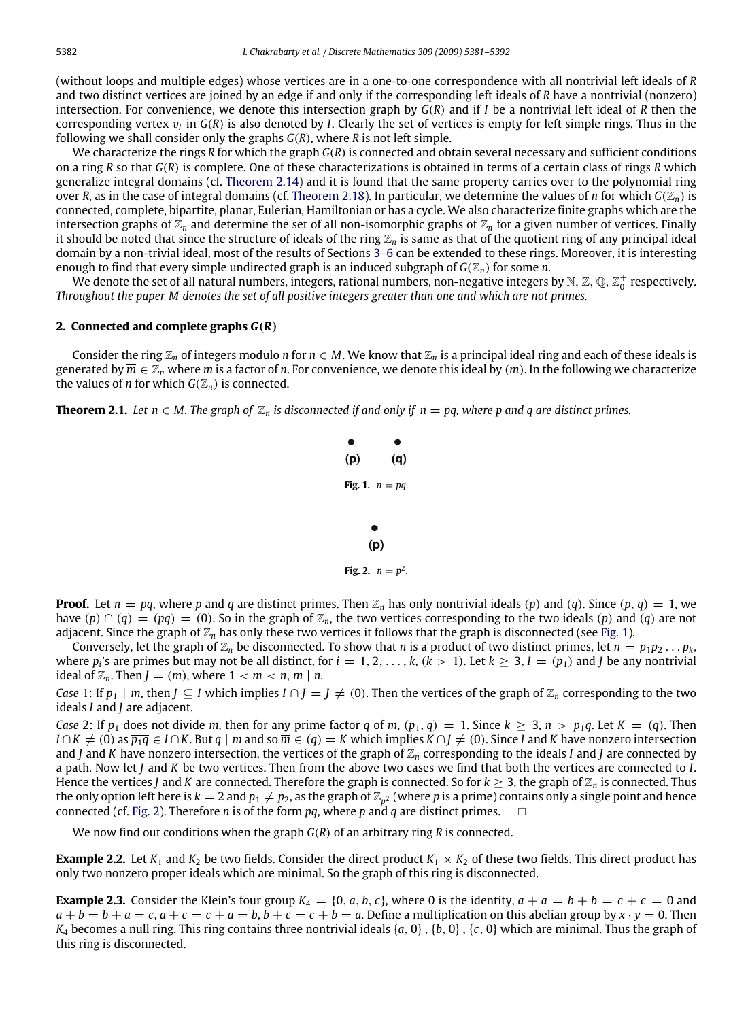(without loops and multiple edges) whose vertices are in a one-to-one correspondence with all nontrivial left ideals of *R* and two distinct vertices are joined by an edge if and only if the corresponding left ideals of *R* have a nontrivial (nonzero) intersection. For convenience, we denote this intersection graph by *G*(*R*) and if *I* be a nontrivial left ideal of *R* then the corresponding vertex  $v_I$  in  $G(R)$  is also denoted by *I*. Clearly the set of vertices is empty for left simple rings. Thus in the following we shall consider only the graphs *G*(*R*), where *R* is not left simple.

We characterize the rings *R* for which the graph *G*(*R*) is connected and obtain several necessary and sufficient conditions on a ring *R* so that *G*(*R*) is complete. One of these characterizations is obtained in terms of a certain class of rings *R* which generalize integral domains (cf. [Theorem 2.14\)](#page-3-0) and it is found that the same property carries over to the polynomial ring over *R*, as in the case of integral domains (cf. [Theorem 2.18\)](#page-4-0). In particular, we determine the values of *n* for which  $G(\mathbb{Z}_n)$  is connected, complete, bipartite, planar, Eulerian, Hamiltonian or has a cycle. We also characterize finite graphs which are the intersection graphs of  $\mathbb{Z}_n$  and determine the set of all non-isomorphic graphs of  $\mathbb{Z}_n$  for a given number of vertices. Finally it should be noted that since the structure of ideals of the ring Z*<sup>n</sup>* is same as that of the quotient ring of any principal ideal domain by a non-trivial ideal, most of the results of Sections [3–6](#page-4-1) can be extended to these rings. Moreover, it is interesting enough to find that every simple undirected graph is an induced subgraph of  $G(\mathbb{Z}_n)$  for some *n*.

We denote the set of all natural numbers, integers, rational numbers, non-negative integers by  $\mathbb{N},$   $\mathbb{Z},$   $\mathbb{Q},$   $\mathbb{Z}_0^+$  respectively. *Throughout the paper M denotes the set of all positive integers greater than one and which are not primes.*

#### **2. Connected and complete graphs** *G*(*R*)

Consider the ring  $\mathbb{Z}_n$  of integers modulo *n* for  $n \in M$ . We know that  $\mathbb{Z}_n$  is a principal ideal ring and each of these ideals is generated by  $\overline{m} \in \mathbb{Z}_n$  where *m* is a factor of *n*. For convenience, we denote this ideal by  $(m)$ . In the following we characterize the values of *n* for which  $G(\mathbb{Z}_n)$  is connected.

<span id="page-1-0"></span>**Theorem 2.1.** *Let*  $n \in M$ . The graph of  $\mathbb{Z}_n$  is disconnected if and only if  $n = pq$ , where p and q are distinct primes.

\n- (p) (q)
\n- Fig. 1. 
$$
n = pq
$$
.
\n- (p)
\n- Fig. 2.  $n = p^2$ .
\n

<span id="page-1-1"></span>**Proof.** Let  $n = pq$ , where p and q are distinct primes. Then  $\mathbb{Z}_n$  has only nontrivial ideals (p) and (q). Since (p, q) = 1, we have  $(p) \cap (q) = (pq) = (0)$ . So in the graph of  $\mathbb{Z}_n$ , the two vertices corresponding to the two ideals  $(p)$  and  $(q)$  are not adjacent. Since the graph of  $\mathbb{Z}_n$  has only these two vertices it follows that the graph is disconnected (see [Fig. 1\)](#page-1-0).

Conversely, let the graph of  $\mathbb{Z}_n$  be disconnected. To show that *n* is a product of two distinct primes, let  $n = p_1p_2 \dots p_k$ , where  $p_i$ 's are primes but may not be all distinct, for  $i = 1, 2, ..., k$ ,  $(k > 1)$ . Let  $k \geq 3$ ,  $I = (p_1)$  and *J* be any nontrivial ideal of  $\mathbb{Z}_n$ . Then  $J = (m)$ , where  $1 < m < n$ ,  $m \mid n$ .

*Case* 1: If  $p_1 \mid m$ , then  $J \subseteq I$  which implies  $I \cap J = J \neq (0)$ . Then the vertices of the graph of  $\mathbb{Z}_n$  corresponding to the two ideals *I* and *J* are adjacent.

*Case* 2: If  $p_1$  does not divide *m*, then for any prime factor *q* of *m*,  $(p_1, q) = 1$ . Since  $k \geq 3$ ,  $n > p_1q$ . Let  $K = (q)$ . Then  $I \cap K \neq (0)$  as  $\overline{p_1 q} \in I \cap K$ . But  $q \mid m$  and so  $\overline{m} \in (q) = K$  which implies  $K \cap J \neq (0)$ . Since I and K have nonzero intersection and *J* and *K* have nonzero intersection, the vertices of the graph of  $\mathbb{Z}_n$  corresponding to the ideals *I* and *J* are connected by a path. Now let *J* and *K* be two vertices. Then from the above two cases we find that both the vertices are connected to *I*. Hence the vertices *J* and *K* are connected. Therefore the graph is connected. So for  $k \geq 3$ , the graph of  $\mathbb{Z}_n$  is connected. Thus the only option left here is  $k=2$  and  $p_1\neq p_2$ , as the graph of  $\Z_{p^2}$  (where  $p$  is a prime) contains only a single point and hence connected (cf. [Fig. 2\)](#page-1-1). Therefore *n* is of the form *pq*, where *p* and *q* are distinct primes.  $\square$ 

We now find out conditions when the graph *G*(*R*) of an arbitrary ring *R* is connected.

**Example 2.2.** Let  $K_1$  and  $K_2$  be two fields. Consider the direct product  $K_1 \times K_2$  of these two fields. This direct product has only two nonzero proper ideals which are minimal. So the graph of this ring is disconnected.

**Example 2.3.** Consider the Klein's four group  $K_4 = \{0, a, b, c\}$ , where 0 is the identity,  $a + a = b + b = c + c = 0$  and  $a + b = b + a = c$ ,  $a + c = c + a = b$ ,  $b + c = c + b = a$ . Define a multiplication on this abelian group by  $x \cdot y = 0$ . Then *K*<sup>4</sup> becomes a null ring. This ring contains three nontrivial ideals {*a*, 0},{*b*, 0},{*c*, 0} which are minimal. Thus the graph of this ring is disconnected.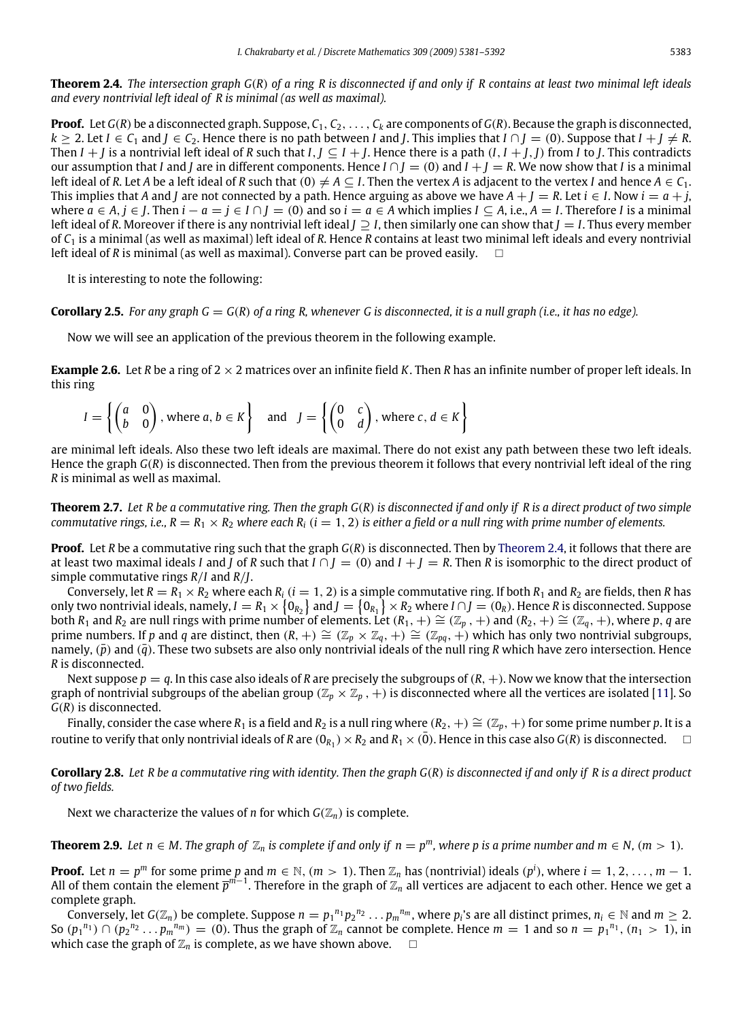<span id="page-2-0"></span>**Theorem 2.4.** *The intersection graph G*(*R*) *of a ring R is disconnected if and only if R contains at least two minimal left ideals and every nontrivial left ideal of R is minimal (as well as maximal).*

**Proof.** Let  $G(R)$  be a disconnected graph. Suppose,  $C_1, C_2, \ldots, C_k$  are components of  $G(R)$ . Because the graph is disconnected,  $k > 2$ . Let  $I \in C_1$  and  $I \in C_2$ . Hence there is no path between *I* and *J*. This implies that  $I \cap I = (0)$ . Suppose that  $I + I \neq R$ . Then *I* + *J* is a nontrivial left ideal of *R* such that *I*, *J* ⊆ *I* + *J*. Hence there is a path  $(I, I + J, J)$  from *I* to *J*. This contradicts our assumption that *I* and *J* are in different components. Hence  $I \cap J = (0)$  and  $I + J = R$ . We now show that *I* is a minimal left ideal of *R*. Let *A* be a left ideal of *R* such that  $(0) \neq A \subseteq I$ . Then the vertex *A* is adjacent to the vertex *I* and hence  $A \in C_1$ . This implies that *A* and *J* are not connected by a path. Hence arguing as above we have  $A + J = R$ . Let  $i \in I$ . Now  $i = a + j$ , where  $a \in A$ ,  $j \in I$ . Then  $i - a = j \in I \cap I = (0)$  and so  $i = a \in A$  which implies  $I \subseteq A$ , i.e.,  $A = I$ . Therefore I is a minimal left ideal of *R*. Moreover if there is any nontrivial left ideal *J* ⊇ *I*, then similarly one can show that *J* = *I*. Thus every member of *C*<sup>1</sup> is a minimal (as well as maximal) left ideal of *R*. Hence *R* contains at least two minimal left ideals and every nontrivial left ideal of *R* is minimal (as well as maximal). Converse part can be proved easily.  $\square$ 

It is interesting to note the following:

**Corollary 2.5.** For any graph  $G = G(R)$  of a ring R, whenever G is disconnected, it is a null graph (i.e., it has no edge).

Now we will see an application of the previous theorem in the following example.

**Example 2.6.** Let *R* be a ring of 2 × 2 matrices over an infinite field *K*. Then *R* has an infinite number of proper left ideals. In this ring

$$
I = \left\{ \begin{pmatrix} a & 0 \\ b & 0 \end{pmatrix}, \text{ where } a, b \in K \right\} \text{ and } J = \left\{ \begin{pmatrix} 0 & c \\ 0 & d \end{pmatrix}, \text{ where } c, d \in K \right\}
$$

are minimal left ideals. Also these two left ideals are maximal. There do not exist any path between these two left ideals. Hence the graph *G*(*R*) is disconnected. Then from the previous theorem it follows that every nontrivial left ideal of the ring *R* is minimal as well as maximal.

**Theorem 2.7.** *Let R be a commutative ring. Then the graph G*(*R*) *is disconnected if and only if R is a direct product of two simple commutative rings, i.e., R* =  $R_1 \times R_2$  *where each*  $R_i$  (*i* = 1, 2) *is either a field or a null ring with prime number of elements.* 

**Proof.** Let *R* be a commutative ring such that the graph *G*(*R*) is disconnected. Then by [Theorem 2.4,](#page-2-0) it follows that there are at least two maximal ideals *I* and *J* of *R* such that  $I \cap J = (0)$  and  $I + J = R$ . Then *R* is isomorphic to the direct product of simple commutative rings *R*/*I* and *R*/*J*.

Conversely, let  $R = R_1 \times R_2$  where each  $R_i$  ( $i = 1, 2$ ) is a simple commutative ring. If both  $R_1$  and  $R_2$  are fields, then *R* has only two nontrivial ideals, namely,  $I = R_1 \times \{0_{R_2}\}$  and  $J = \{0_{R_1}\} \times R_2$  where  $I \cap J = (0_R)$ . Hence  $R$  is disconnected. Suppose both *R*<sub>1</sub> and *R*<sub>2</sub> are null rings with prime number of elements. Let  $(R_1, +) \cong (\mathbb{Z}_p, +)$  and  $(R_2, +) \cong (\mathbb{Z}_q, +)$ , where *p*, *q* are prime numbers. If *p* and *q* are distinct, then  $(R, +) \cong (\mathbb{Z}_p \times \mathbb{Z}_q, +) \cong (\mathbb{Z}_{pq}, +)$  which has only two nontrivial subgroups, namely,  $(\bar{p})$  and  $(\bar{q})$ . These two subsets are also only nontrivial ideals of the null ring *R* which have zero intersection. Hence *R* is disconnected.

Next suppose  $p = q$ . In this case also ideals of R are precisely the subgroups of  $(R, +)$ . Now we know that the intersection graph of nontrivial subgroups of the abelian group ( $\mathbb{Z}_p \times \mathbb{Z}_p$ ,  $+$ ) is disconnected where all the vertices are isolated [\[11\]](#page-11-3). So *G*(*R*) is disconnected.

Finally, consider the case where  $R_1$  is a field and  $R_2$  is a null ring where  $(R_2, +) \cong (\mathbb{Z}_p, +)$  for some prime number *p*. It is a routine to verify that only nontrivial ideals of *R* are  $(0_{R_1})\times R_2$  and  $R_1\times(\bar 0)$ . Hence in this case also  $G(R)$  is disconnected.  $\hfill\Box$ 

**Corollary 2.8.** *Let R be a commutative ring with identity. Then the graph G*(*R*) *is disconnected if and only if R is a direct product of two fields.*

Next we characterize the values of *n* for which  $G(\mathbb{Z}_n)$  is complete.

**Theorem 2.9.** Let  $n \in M$ . The graph of  $\mathbb{Z}_n$  is complete if and only if  $n = p^m$ , where p is a prime number and  $m \in N$ ,  $(m > 1)$ .

**Proof.** Let  $n = p^m$  for some prime  $p$  and  $m \in \mathbb{N}$ ,  $(m > 1)$ . Then  $\mathbb{Z}_n$  has (nontrivial) ideals  $(p^i)$ , where  $i = 1, 2, \ldots, m-1$ . All of them contain the element  $\bar p^{m-1}$ . Therefore in the graph of  $\Z_n$  all vertices are adjacent to each other. Hence we get a complete graph.

Conversely, let  $G(\mathbb{Z}_n)$  be complete. Suppose  $n=p_1^{n_1}p_2^{n_2}\ldots p_m^{n_m}$ , where  $p_i$ 's are all distinct primes,  $n_i\in\mathbb{N}$  and  $m\geq 2$ . So  $(p_1^{n_1}) \cap (p_2^{n_2} \dots p_m^{n_m}) = (0)$ . Thus the graph of  $\mathbb{Z}_n$  cannot be complete. Hence  $m = 1$  and so  $n = p_1^{n_1}$ ,  $(n_1 > 1)$ , in which case the graph of  $\mathbb{Z}_n$  is complete, as we have shown above.  $\Box$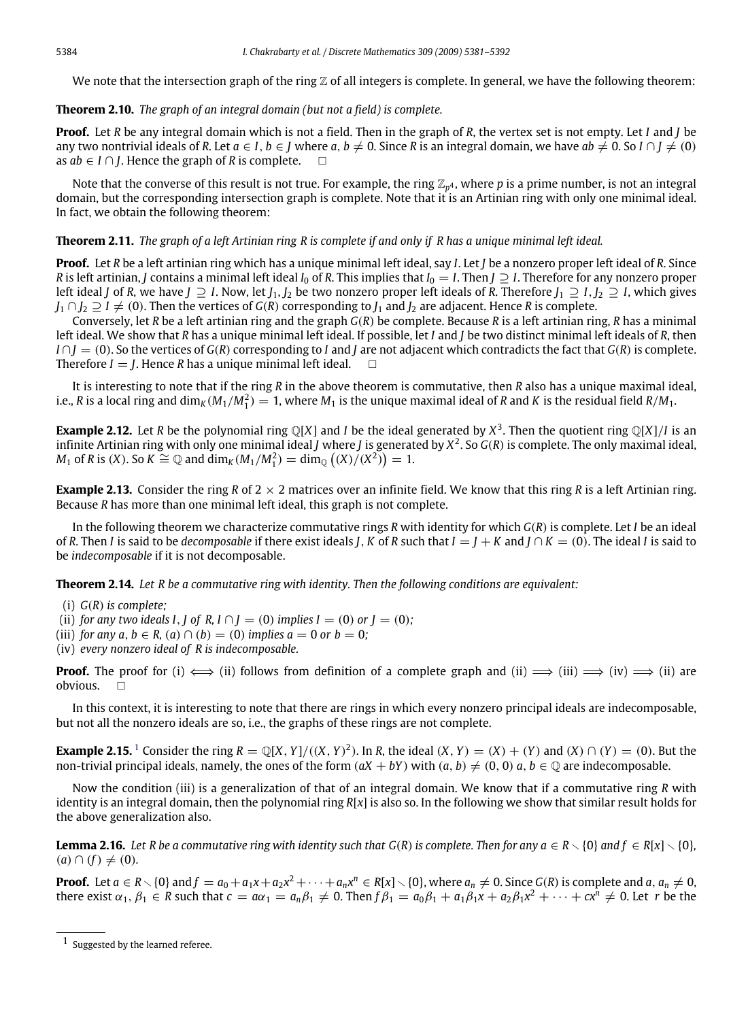We note that the intersection graph of the ring  $\mathbb Z$  of all integers is complete. In general, we have the following theorem:

#### **Theorem 2.10.** *The graph of an integral domain (but not a field) is complete.*

**Proof.** Let *R* be any integral domain which is not a field. Then in the graph of *R*, the vertex set is not empty. Let *I* and *J* be any two nontrivial ideals of *R*. Let  $a \in I$ ,  $b \in I$  where  $a, b \neq 0$ . Since *R* is an integral domain, we have  $ab \neq 0$ . So  $I \cap I \neq (0)$ as  $ab \in I \cap I$ . Hence the graph of *R* is complete.  $□$ 

Note that the converse of this result is not true. For example, the ring Z*<sup>p</sup>* <sup>4</sup> , where *p* is a prime number, is not an integral domain, but the corresponding intersection graph is complete. Note that it is an Artinian ring with only one minimal ideal. In fact, we obtain the following theorem:

#### **Theorem 2.11.** *The graph of a left Artinian ring R is complete if and only if R has a unique minimal left ideal.*

**Proof.** Let *R* be a left artinian ring which has a unique minimal left ideal, say *I*. Let *J* be a nonzero proper left ideal of *R*. Since *R* is left artinian, *J* contains a minimal left ideal *I*<sub>0</sub> of *R*. This implies that *I*<sub>0</sub> = *I*. Then *J* ⊇ *I*. Therefore for any nonzero proper *left ideal <i>J* of *R*, we have *J* ⊃ *I*. Now, let *J*<sub>1</sub>, *J*<sub>2</sub> be two nonzero proper left ideals of *R*. Therefore *J*<sub>1</sub> ⊃ *I*, *J*<sub>2</sub> ⊃ *I*, which gives  $J_1 \cap J_2 \supseteq I \neq (0)$ . Then the vertices of *G*(*R*) corresponding to  $J_1$  and  $J_2$  are adjacent. Hence *R* is complete.

Conversely, let *R* be a left artinian ring and the graph *G*(*R*) be complete. Because *R* is a left artinian ring, *R* has a minimal left ideal. We show that *R* has a unique minimal left ideal. If possible, let *I* and *J* be two distinct minimal left ideals of *R*, then  $I \cap I = (0)$ . So the vertices of *G*(*R*) corresponding to *I* and *J* are not adjacent which contradicts the fact that *G*(*R*) is complete. Therefore  $I = I$ . Hence *R* has a unique minimal left ideal.  $\Box$ 

It is interesting to note that if the ring *R* in the above theorem is commutative, then *R* also has a unique maximal ideal, i.e., *R* is a local ring and dim<sub>K</sub> (M<sub>1</sub>/M<sub>1</sub>) = 1, where M<sub>1</sub> is the unique maximal ideal of *R* and *K* is the residual field *R*/M<sub>1</sub>.

**Example 2.12.** Let *R* be the polynomial ring  $\mathbb{Q}[X]$  and *I* be the ideal generated by  $X^3$ . Then the quotient ring  $\mathbb{Q}[X]/I$  is an infinite Artinian ring with only one minimal ideal *J* where *J* is generated by *X* 2 . So *G*(*R*) is complete. The only maximal ideal, *M*<sub>1</sub> of *R* is (*X*). So *K*  $\cong$  ℚ and  $\dim_K (M_1/M_1^2) = \dim_Q ((X)/(X^2)) = 1$ .

**Example 2.13.** Consider the ring *R* of 2 × 2 matrices over an infinite field. We know that this ring *R* is a left Artinian ring. Because *R* has more than one minimal left ideal, this graph is not complete.

In the following theorem we characterize commutative rings *R* with identity for which *G*(*R*) is complete. Let *I* be an ideal of *R*. Then *I* is said to be *decomposable* if there exist ideals *J*, *K* of *R* such that  $I = I + K$  and  $I \cap K = (0)$ . The ideal *I* is said to be *indecomposable* if it is not decomposable.

**Theorem 2.14.** *Let R be a commutative ring with identity. Then the following conditions are equivalent:*

<span id="page-3-0"></span>(i) *G*(*R*) *is complete;*

(ii) *for any two ideals I*, *J* of *R*,  $I \cap I = (0)$  *implies*  $I = (0)$  *or*  $I = (0)$ ;

(iii) *for any a, b*  $\in$  *R,* (*a*)  $\cap$  (*b*) = (0) *implies a* = 0 *or b* = 0;

(iv) *every nonzero ideal of R is indecomposable.*

**Proof.** The proof for (i)  $\iff$  (ii) follows from definition of a complete graph and (ii)  $\implies$  (iii)  $\implies$  (ii) are obvious.  $\Box$ 

In this context, it is interesting to note that there are rings in which every nonzero principal ideals are indecomposable, but not all the nonzero ideals are so, i.e., the graphs of these rings are not complete.

**Example 2.[1](#page-3-1)5.** <sup>1</sup> Consider the ring  $R = \mathbb{Q}[X, Y]/((X, Y)^2)$ . In *R*, the ideal  $(X, Y) = (X) + (Y)$  and  $(X) \cap (Y) = (0)$ . But the non-trivial principal ideals, namely, the ones of the form  $(aX + bY)$  with  $(a, b) \neq (0, 0)$   $a, b \in \mathbb{Q}$  are indecomposable.

Now the condition (iii) is a generalization of that of an integral domain. We know that if a commutative ring *R* with identity is an integral domain, then the polynomial ring *R*[*x*] is also so. In the following we show that similar result holds for the above generalization also.

<span id="page-3-2"></span>**Lemma 2.16.** Let R be a commutative ring with identity such that  $G(R)$  is complete. Then for any  $a \in R \setminus \{0\}$  and  $f \in R[x] \setminus \{0\}$ ,  $(a) \cap (f) \neq (0)$ .

**Proof.** Let  $a \in R \setminus \{0\}$  and  $f = a_0 + a_1x + a_2x^2 + \cdots + a_nx^n \in R[x] \setminus \{0\}$ , where  $a_n \neq 0$ . Since  $G(R)$  is complete and  $a, a_n \neq 0$ , there exist  $\alpha_1, \beta_1 \in R$  such that  $c = a\alpha_1 = a_n\beta_1 \neq 0$ . Then  $f\beta_1 = a_0\beta_1 + a_1\beta_1x + a_2\beta_1x^2 + \cdots + cx^n \neq 0$ . Let *r* be the

<span id="page-3-1"></span><sup>1</sup> Suggested by the learned referee.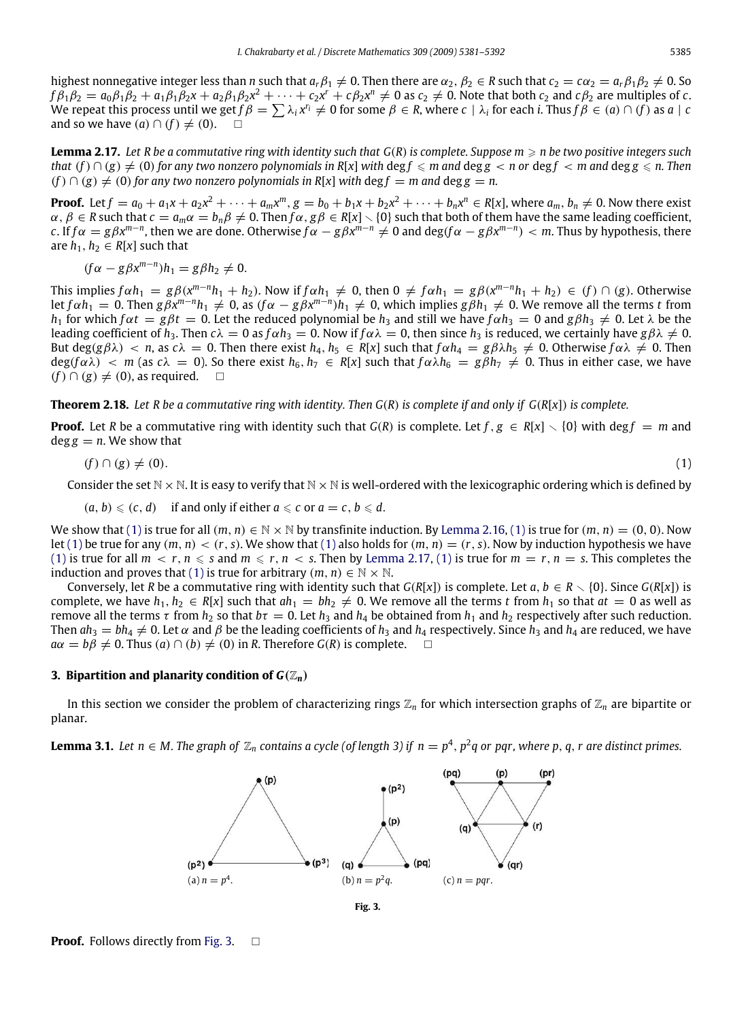highest nonnegative integer less than *n* such that  $a_r \beta_1 \neq 0$ . Then there are  $\alpha_2$ ,  $\beta_2 \in R$  such that  $c_2 = \alpha_2 = a_r \beta_1 \beta_2 \neq 0$ . So  $f\beta_1\beta_2=a_0\beta_1\beta_2+a_1\beta_1\beta_2$ x +  $a_2\beta_1\beta_2$ x<sup>2</sup> +  $\cdots$  +  $c_2$ x<sup>r</sup> +  $c\beta_2$ x<sup>n</sup> ≠ 0 as  $c_2$  ≠ 0. Note that both  $c_2$  and  $c\beta_2$  are multiples of  $c.$ We repeat this process until we get  $f\beta=\sum\lambda_i x^{r_i}\neq 0$  for some  $\beta\in R$ , where  $c\mid\lambda_i$  for each *i*. Thus  $f\beta\in(a)\cap(f)$  as  $a\mid c$ and so we have  $(a) \cap (f) \neq (0)$ . □

<span id="page-4-3"></span>**Lemma 2.17.** Let R be a commutative ring with identity such that  $G(R)$  is complete. Suppose  $m \ge n$  be two positive integers such *that*  $(f) \cap (g) \neq (0)$  *for any two nonzero polynomials in*  $R[x]$  *with* deg  $f \leq m$  *and* deg  $g \leq n$  *m* and deg  $g \leq n$ . Then  $(f) \cap (g) \neq (0)$  *for any two nonzero polynomials in*  $R[x]$  *with* deg  $f = m$  *and* deg  $g = n$ .

**Proof.** Let  $f = a_0 + a_1x + a_2x^2 + \cdots + a_mx^m$ ,  $g = b_0 + b_1x + b_2x^2 + \cdots + b_nx^n \in R[x]$ , where  $a_m, b_n \neq 0$ . Now there exist  $\alpha,\,\beta\in R$  such that  $c=a_m\alpha=b_n\beta\neq0.$  Then  $f\alpha, g\beta\in R[x]\smallsetminus\{0\}$  such that both of them have the same leading coefficient, c. If  $f\alpha=g\beta x^{m-n}$ , then we are done. Otherwise  $f\alpha-g\beta x^{m-n}\neq 0$  and deg( $f\alpha-g\beta x^{m-n})< m$ . Thus by hypothesis, there are  $h_1, h_2 \in R[x]$  such that

$$
(f\alpha - g\beta x^{m-n})h_1 = g\beta h_2 \neq 0.
$$

This implies  $f \alpha h_1 = g \beta (x^{m-n}h_1 + h_2)$ . Now if  $f \alpha h_1 \neq 0$ , then  $0 \neq f \alpha h_1 = g \beta (x^{m-n}h_1 + h_2) \in (f) \cap (g)$ . Otherwise let  $f\alpha h_1=0$ . Then  $g\beta x^{m-n}h_1\neq 0$ , as  $(f\alpha-g\beta x^{m-n})h_1\neq 0$ , which implies  $g\beta h_1\neq 0$ . We remove all the terms t from *h*<sub>1</sub> for which  $f \alpha t = g \beta t = 0$ . Let the reduced polynomial be *h*<sub>3</sub> and still we have  $f \alpha h_3 = 0$  and  $g \beta h_3 \neq 0$ . Let  $\lambda$  be the leading coefficient of  $h_3$ . Then  $c\lambda = 0$  as  $f \alpha h_3 = 0$ . Now if  $f \alpha \lambda = 0$ , then since  $h_3$  is reduced, we certainly have  $g \beta \lambda \neq 0$ . But deg( $g\beta\lambda$ ) < *n*, as  $c\lambda = 0$ . Then there exist  $h_4$ ,  $h_5 \in R[x]$  such that  $f\alpha h_4 = g\beta\lambda h_5 \neq 0$ . Otherwise  $f\alpha\lambda \neq 0$ . Then  $deg(f \alpha \lambda)$  < *m* (as  $c \lambda = 0$ ). So there exist  $h_6, h_7 \in R[x]$  such that  $f \alpha \lambda h_6 = g \beta h_7 \neq 0$ . Thus in either case, we have  $(f) \cap (g) \neq (0)$ , as required.  $\square$ 

<span id="page-4-0"></span>**Theorem 2.18.** *Let R be a commutative ring with identity. Then G*(*R*) *is complete if and only if G*(*R*[*x*]) *is complete.*

**Proof.** Let *R* be a commutative ring with identity such that  $G(R)$  is complete. Let  $f, g \in R[x] \setminus \{0\}$  with deg  $f = m$  and  $\deg g = n$ . We show that

$$
(f) \cap (g) \neq (0). \tag{1}
$$

Consider the set  $N \times N$ . It is easy to verify that  $N \times N$  is well-ordered with the lexicographic ordering which is defined by

$$
(a, b) \leqslant (c, d)
$$
 if and only if either  $a \leqslant c$  or  $a = c, b \leqslant d$ .

We show that [\(1\)](#page-4-2) is true for all  $(m, n) \in \mathbb{N} \times \mathbb{N}$  by transfinite induction. By [Lemma 2.16,](#page-3-2) (1) is true for  $(m, n) = (0, 0)$ . Now let [\(1\)](#page-4-2) be true for any  $(m, n) < (r, s)$ . We show that (1) also holds for  $(m, n) = (r, s)$ . Now by induction hypothesis we have [\(1\)](#page-4-2) is true for all  $m < r, n \leq s$  and  $m \leq r, n < s$ . Then by [Lemma 2.17,](#page-4-3) (1) is true for  $m = r, n = s$ . This completes the induction and proves that [\(1\)](#page-4-2) is true for arbitrary  $(m, n) \in \mathbb{N} \times \mathbb{N}$ .

Conversely, let *R* be a commutative ring with identity such that  $G(R[x])$  is complete. Let  $a, b \in R \setminus \{0\}$ . Since  $G(R[x])$  is complete, we have  $h_1, h_2 \in R[x]$  such that  $ah_1 = bh_2 \neq 0$ . We remove all the terms *t* from  $h_1$  so that  $at = 0$  as well as remove all the terms τ from *h*<sub>2</sub> so that *bτ* = 0. Let *h*<sub>3</sub> and *h*<sub>4</sub> be obtained from *h*<sub>1</sub> and *h*<sub>2</sub> respectively after such reduction. Then  $ah_3 = bh_4 \neq 0$ . Let  $\alpha$  and  $\beta$  be the leading coefficients of  $h_3$  and  $h_4$  respectively. Since  $h_3$  and  $h_4$  are reduced, we have  $a\alpha = b\beta \neq 0$ . Thus  $(a) \cap (b) \neq (0)$  in *R*. Therefore  $G(R)$  is complete.  $\square$ 

#### <span id="page-4-1"></span>**3. Bipartition and planarity condition of**  $G(\mathbb{Z}_n)$

In this section we consider the problem of characterizing rings  $\mathbb{Z}_n$  for which intersection graphs of  $\mathbb{Z}_n$  are bipartite or planar.

<span id="page-4-4"></span>**Lemma 3.1.** Let  $n \in M$ . The graph of  $\mathbb{Z}_n$  contains a cycle (of length 3) if  $n = p^4$ ,  $p^2q$  or pqr, where p, q, r are distinct primes.



<span id="page-4-2"></span>**Fig. 3.**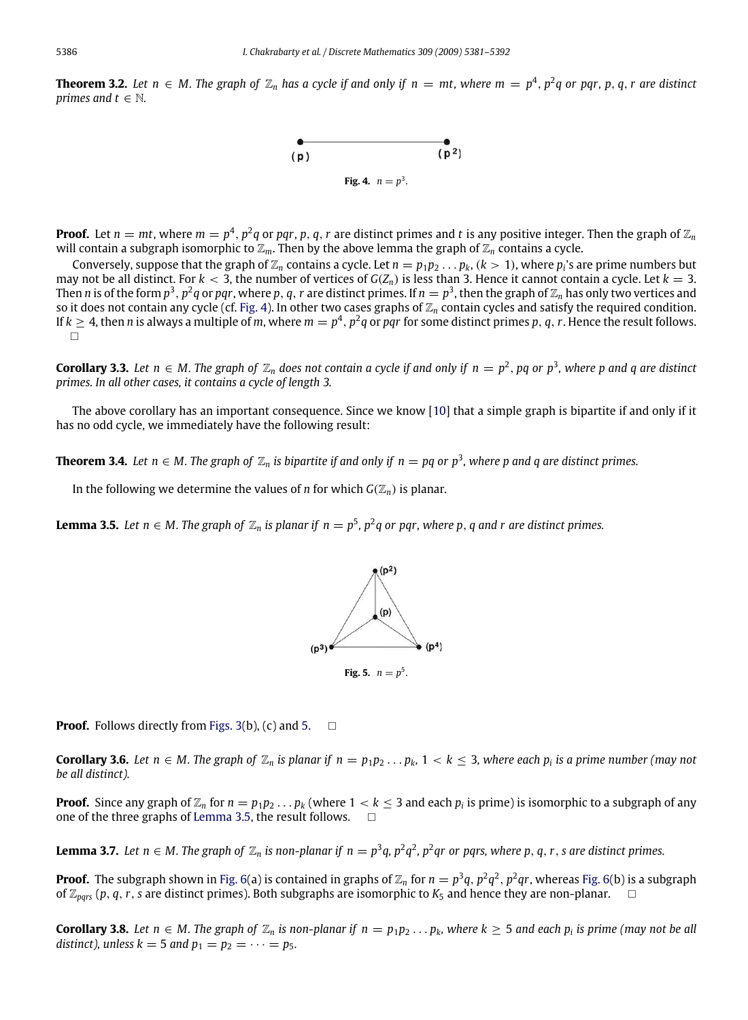<span id="page-5-0"></span>**Theorem 3.2.** Let  $n \in M$ . The graph of  $\mathbb{Z}_n$  has a cycle if and only if  $n = mt$ , where  $m = p^4$ ,  $p^2q$  or pqr, p, q, r are distinct *primes and*  $t \in \mathbb{N}$ *.* 



**Proof.** Let  $n = mt$ , where  $m = p^4$ ,  $p^2q$  or  $pqr$ ,  $p$ ,  $q$ ,  $r$  are distinct primes and  $t$  is any positive integer. Then the graph of  $\mathbb{Z}_n$ will contain a subgraph isomorphic to  $\mathbb{Z}_m$ . Then by the above lemma the graph of  $\mathbb{Z}_n$  contains a cycle.

Conversely, suppose that the graph of  $\mathbb{Z}_n$  contains a cycle. Let  $n=p_1p_2\ldots p_k$ ,  $(k>1)$ , where  $p_i$ 's are prime numbers but may not be all distinct. For  $k < 3$ , the number of vertices of  $G(Z_n)$  is less than 3. Hence it cannot contain a cycle. Let  $k = 3$ . Then  $n$  is of the form  $p^3$ ,  $p^2q$  or  $pqr$ , where  $p,q,r$  are distinct primes. If  $n=p^3$ , then the graph of  $\mathbb{Z}_n$  has only two vertices and so it does not contain any cycle (cf. [Fig. 4\)](#page-5-0). In other two cases graphs of  $\mathbb{Z}_n$  contain cycles and satisfy the required condition. If  $k\geq 4$ , then  $n$  is always a multiple of  $m$ , where  $m=p^4,$   $p^2q$  or  $pqr$  for some distinct primes  $p,$   $q,$   $r.$  Hence the result follows.  $\Box$ 

**Corollary 3.3.** Let  $n \in M$ . The graph of  $\mathbb{Z}_n$  does not contain a cycle if and only if  $n = p^2$ , pq or  $p^3$ , where p and q are distinct *primes. In all other cases, it contains a cycle of length 3.*

The above corollary has an important consequence. Since we know [\[10\]](#page-11-7) that a simple graph is bipartite if and only if it has no odd cycle, we immediately have the following result:

**Theorem 3.4.** Let  $n \in M$ . The graph of  $\mathbb{Z}_n$  is bipartite if and only if  $n=p$ q or  $p^3$ , where p and q are distinct primes.

<span id="page-5-2"></span>In the following we determine the values of *n* for which  $G(\mathbb{Z}_n)$  is planar.

<span id="page-5-1"></span>**Lemma 3.5.** Let  $n \in M$ . The graph of  $\mathbb{Z}_n$  is planar if  $n = p^5$ ,  $p^2q$  or pqr, where p, q and r are distinct primes.



**Proof.** Follows directly from [Figs. 3\(](#page-4-4)b), (c) and [5.](#page-5-1)  $\Box$ 

<span id="page-5-4"></span>**Corollary 3.6.** Let  $n \in M$ . The graph of  $\mathbb{Z}_n$  is planar if  $n = p_1p_2 \ldots p_k$ ,  $1 < k \leq 3$ , where each  $p_i$  is a prime number (may not *be all distinct).*

**Proof.** Since any graph of  $\mathbb{Z}_n$  for  $n = p_1p_2\ldots p_k$  (where  $1 < k \leq 3$  and each  $p_i$  is prime) is isomorphic to a subgraph of any one of the three graphs of [Lemma 3.5,](#page-5-2) the result follows.

<span id="page-5-3"></span>**Lemma 3.7.** Let  $n \in M$ . The graph of  $\mathbb{Z}_n$  is non-planar if  $n = p^3q$ ,  $p^2q^2$ ,  $p^2q$ r or pqrs, where p, q, r, s are distinct primes.

**Proof.** The subgraph shown in [Fig. 6\(](#page-6-0)a) is contained in graphs of  $\mathbb{Z}_n$  for  $n=p^3q$ ,  $p^2q^2$ ,  $p^2qr$ , whereas Fig. 6(b) is a subgraph of  $\mathbb{Z}_{pqrs}$  (p, q, r, s are distinct primes). Both subgraphs are isomorphic to  $K_5$  and hence they are non-planar.

<span id="page-5-5"></span>**Corollary 3.8.** Let  $n \in M$ . The graph of  $\mathbb{Z}_n$  is non-planar if  $n = p_1p_2...p_k$ , where  $k \geq 5$  and each  $p_i$  is prime (may not be all *distinct*), unless  $k = 5$  *and*  $p_1 = p_2 = \cdots = p_5$ .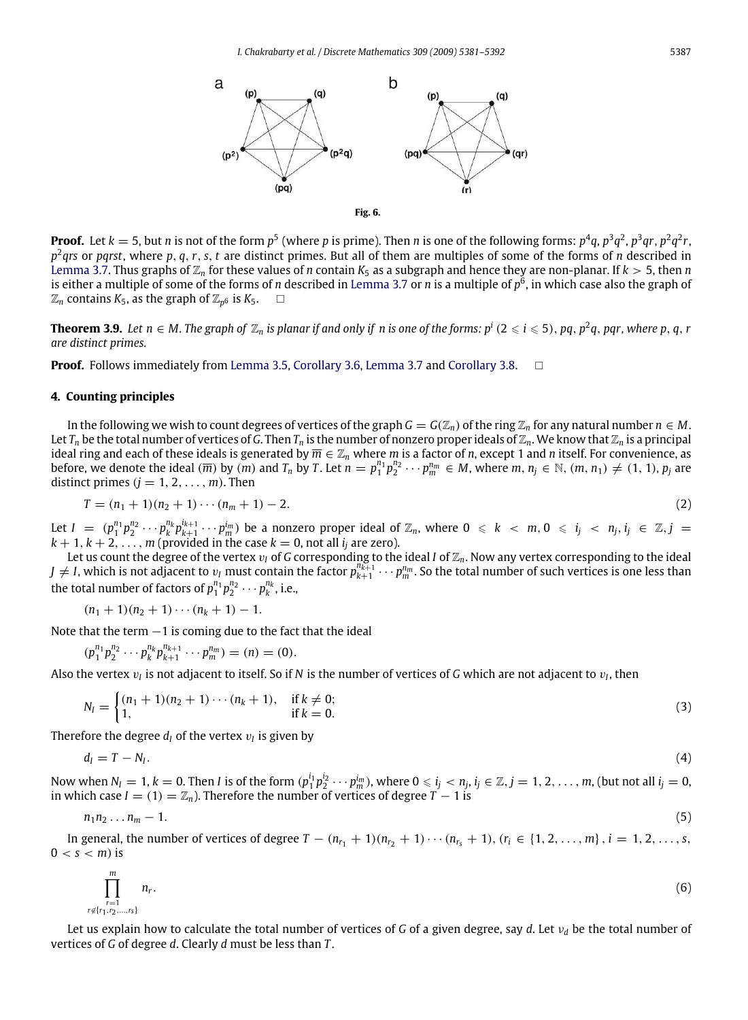<span id="page-6-0"></span>

**Proof.** Let  $k=5$ , but n is not of the form  $p^5$  (where p is prime). Then n is one of the following forms:  $p^4q$ ,  $p^3q^2$ ,  $p^3q$ r,  $p^2q^2r$ , *p* 2 *qrs* or *pqrst*, where *p*, *q*,*r*, *s*, *t* are distinct primes. But all of them are multiples of some of the forms of *n* described in [Lemma 3.7.](#page-5-3) Thus graphs of  $\mathbb{Z}_n$  for these values of *n* contain  $K_5$  as a subgraph and hence they are non-planar. If  $k > 5$ , then *n* is either a multiple of some of the forms of *n* described in [Lemma 3.7](#page-5-3) or *n* is a multiple of *p* 6 , in which case also the graph of  $\mathbb{Z}_n$  contains  $K_5$ , as the graph of  $\mathbb{Z}_{p^6}$  is  $K_5$ .  $\hfill\Box$ 

**Theorem 3.9.** Let  $n\in M$ . The graph of  $\mathbb{Z}_n$  is planar if and only if  $n$  is one of the forms:  $p^i$  (2  $\leqslant$  i  $\leqslant$  5), pq, p $^2$ q, pqr, where p, q, r *are distinct primes.*

**Proof.** Follows immediately from [Lemma 3.5,](#page-5-2) [Corollary 3.6,](#page-5-4) [Lemma 3.7](#page-5-3) and [Corollary 3.8.](#page-5-5)  $\Box$ 

#### **4. Counting principles**

In the following we wish to count degrees of vertices of the graph  $G = G(\mathbb{Z}_n)$  of the ring  $\mathbb{Z}_n$  for any natural number  $n \in M$ . Let  $T_n$  be the total number of vertices of *G*. Then  $T_n$  is the number of nonzero proper ideals of  $\mathbb{Z}_n$ . We know that  $\mathbb{Z}_n$  is a principal ideal ring and each of these ideals is generated by  $\overline{m} \in \mathbb{Z}_n$  where *m* is a factor of *n*, except 1 and *n* itself. For convenience, as before, we denote the ideal  $(\overline{m})$  by  $(m)$  and  $T_n$  by T. Let  $n=p_1^{n_1}p_2^{n_2}\cdots p_m^{n_m}\in M$ , where  $m, n_j\in\mathbb{N}$ ,  $(m, n_1)\neq(1, 1)$ ,  $p_j$  are distinct primes  $(j = 1, 2, \ldots, m)$ . Then

<span id="page-6-2"></span>
$$
T = (n_1 + 1)(n_2 + 1) \cdots (n_m + 1) - 2. \tag{2}
$$

Let  $I=(p_1^{n_1}p_2^{n_2}\cdots p_k^{n_k}p_{k+1}^{i_{k+1}}\cdots p_m^{i_m})$  be a nonzero proper ideal of  $\mathbb{Z}_n$ , where  $0\ \leqslant\ k\ <\ m, 0\ \leqslant\ i_j\ <\ n_j, i_j\ \in\ \mathbb{Z}, j=1$  $k + 1, k + 2, \ldots, m$  (provided in the case  $k = 0$ , not all  $i_j$  are zero).

Let us count the degree of the vertex v*<sup>I</sup>* of *G* corresponding to the ideal *I* of Z*n*. Now any vertex corresponding to the ideal  $J \neq I$ , which is not adjacent to  $v_I$  must contain the factor  $p_{k+1}^{m_{k+1}}\cdots p_m^{n_m}$ . So the total number of such vertices is one less than the total number of factors of  $p_1^{n_1} p_2^{n_2} \cdots p_k^{n_k}$ , i.e.,

 $(n_1 + 1)(n_2 + 1) \cdots (n_k + 1) - 1.$ 

Note that the term  $-1$  is coming due to the fact that the ideal

$$
(p_1^{n_1}p_2^{n_2}\cdots p_k^{n_k}p_{k+1}^{n_{k+1}}\cdots p_m^{n_m})=(n)=(0).
$$

Also the vertex  $v_I$  is not adjacent to itself. So if  $N$  is the number of vertices of  $G$  which are not adjacent to  $v_I$ , then

$$
N_l = \begin{cases} (n_1 + 1)(n_2 + 1) \cdots (n_k + 1), & \text{if } k \neq 0; \\ 1, & \text{if } k = 0. \end{cases} \tag{3}
$$

Therefore the degree  $d_I$  of the vertex  $v_I$  is given by

$$
d_I = T - N_I. \tag{4}
$$

Now when  $N_l=1$ ,  $k=0$ . Then  $I$  is of the form  $(p_1^{i_1}p_2^{i_2}\cdots p_m^{i_m})$ , where  $0\leqslant i_j< n_j,$   $i_j\in \mathbb{Z}, j=1,2,\ldots,m$ , (but not all  $i_j=0$ , in which case  $I = (1) = \mathbb{Z}_n$ . Therefore the number of vertices of degree  $T - 1$  is

$$
n_1 n_2 \dots n_m - 1. \tag{5}
$$

In general, the number of vertices of degree  $T - (n_{r_1} + 1)(n_{r_2} + 1) \cdots (n_{r_s} + 1)$ ,  $(r_i \in \{1, 2, \ldots, m\}$ ,  $i = 1, 2, \ldots, s$ ,  $0 < s < m$ ) is

<span id="page-6-1"></span>
$$
\prod_{\substack{r=1 \ r \notin \{r_1, r_2, \dots, r_s\}}}^m n_r. \tag{6}
$$

Let us explain how to calculate the total number of vertices of *G* of a given degree, say *d*. Let ν*<sup>d</sup>* be the total number of vertices of *G* of degree *d*. Clearly *d* must be less than *T* .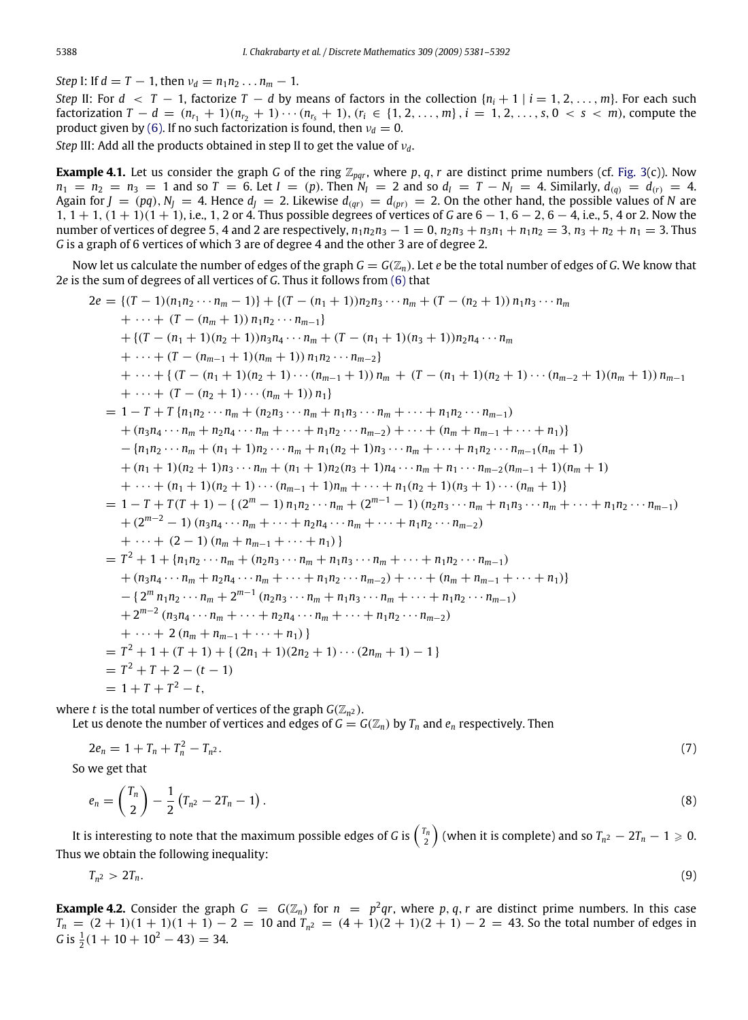*Step* I: If  $d = T - 1$ , then  $v_d = n_1 n_2 ... n_m - 1$ .

*Step* II: For  $d < T - 1$ , factorize  $T - d$  by means of factors in the collection  $\{n_i + 1 \mid i = 1, 2, \ldots, m\}$ . For each such factorization  $T - d = (n_{r_1} + 1)(n_{r_2} + 1) \cdots (n_{r_s} + 1), (r_i \in \{1, 2, ..., m\}, i = 1, 2, ..., s, 0 < s < m)$ , compute the product given by [\(6\).](#page-6-1) If no such factorization is found, then  $v_d = 0$ .

*Step* III: Add all the products obtained in step II to get the value of ν*d*.

**Example 4.1.** Let us consider the graph *G* of the ring  $\mathbb{Z}_{pqr}$ , where *p*, *q*, *r* are distinct prime numbers (cf. [Fig. 3\(](#page-4-4)c)). Now  $n_1 = n_2 = n_3 = 1$  and so  $T = 6$ . Let  $I = (p)$ . Then  $N_I = 2$  and so  $d_I = T - N_I = 4$ . Similarly,  $d_{(q)} = d_{(r)} = 4$ . Again for  $J = (pq)$ ,  $N_J = 4$ . Hence  $d_J = 2$ . Likewise  $d_{(qr)} = d_{(pr)} = 2$ . On the other hand, the possible values of *N* are 1, 1 + 1, (1 + 1)(1 + 1), i.e., 1, 2 or 4. Thus possible degrees of vertices of *G* are 6 − 1, 6 − 2, 6 − 4, i.e., 5, 4 or 2. Now the number of vertices of degree 5, 4 and 2 are respectively,  $n_1n_2n_3 - 1 = 0$ ,  $n_2n_3 + n_3n_1 + n_1n_2 = 3$ ,  $n_3 + n_2 + n_1 = 3$ . Thus *G* is a graph of 6 vertices of which 3 are of degree 4 and the other 3 are of degree 2.

Now let us calculate the number of edges of the graph  $G = G(\mathbb{Z}_n)$ . Let *e* be the total number of edges of *G*. We know that 2*e* is the sum of degrees of all vertices of *G*. Thus it follows from [\(6\)](#page-6-1) that

2e = {(
$$
T - 1
$$
)( $n_1n_2 \cdots n_m - 1$ )} + {( $T - (n_1 + 1)$ ) $n_2n_3 \cdots n_m + (T - (n_2 + 1)) n_1n_3 \cdots n_m$   
\n+  $\cdots + (T - (n_m + 1)) n_1n_2 \cdots n_{m-1}$ }  
\n+ {( $T - (n_1 + 1)(n_2 + 1)$ ) $n_3n_4 \cdots n_m + (T - (n_1 + 1)(n_3 + 1))n_2n_4 \cdots n_m$   
\n+  $\cdots + (T - (n_{m-1} + 1)(n_m + 1)) n_1n_2 \cdots n_{m-2}$ }  
\n+  $\cdots + (T - (n_1 + 1)(n_2 + 1) \cdots (n_{m-1} + 1)) n_m + (T - (n_1 + 1)(n_2 + 1) \cdots (n_{m-2} + 1)(n_m + 1)) n_{m-1}$   
\n+  $\cdots + (T - (n_2 + 1) \cdots (n_m + 1)) n_1$ }  
\n= 1 -  $T + T$  {  $n_1n_2 \cdots n_m + (n_2n_3 \cdots n_m + n_1n_3 \cdots n_m + \cdots + n_1n_2 \cdots n_{m-1})$   
\n+  $(n_3n_4 \cdots n_m + n_2n_4 \cdots n_m + \cdots + n_1n_2 \cdots n_{m-2}) + \cdots + (n_m + n_{m-1} + \cdots + n_1)$ }  
\n-  $\{n_1n_2 \cdots n_m + (n_1 + 1)n_2 \cdots n_m + n_1(n_2 + 1)n_3 \cdots n_m + \cdots + n_1n_2 \cdots n_{m-1}(n_m + 1)$   
\n+  $(n_1 + 1)(n_2 + 1)n_3 \cdots n_m + (n_1 + 1)n_2(n_3 + 1)n_4 \cdots n_m + n_1 \cdots n_{m-2}(n_{m-1} + 1)(n_m + 1)$   
\n+  $\cdots + (n_1 + 1)(n_2 + 1) \cdots (n_{m-1} + 1)n_m + \cdots + n_1n_2 + 1)(n_3 + 1) \cdots (n_m +$ 

where  $t$  is the total number of vertices of the graph  $G(\mathbb{Z}_{n^2})$ .

Let us denote the number of vertices and edges of  $G = G(\mathbb{Z}_n)$  by  $T_n$  and  $e_n$  respectively. Then

$$
2e_n = 1 + T_n + T_n^2 - T_{n^2}.
$$
\n(7)

So we get that

$$
e_n = \binom{T_n}{2} - \frac{1}{2} (T_{n^2} - 2T_n - 1).
$$
 (8)

It is interesting to note that the maximum possible edges of *G* is  ${r_n\choose 2}$  (when it is complete) and so  $T_{n^2}-2T_n-1\geqslant 0.$ Thus we obtain the following inequality:

$$
T_{n^2} > 2T_n. \tag{9}
$$

**Example 4.2.** Consider the graph  $G = G(\mathbb{Z}_n)$  for  $n = p^2qr$ , where p, q, r are distinct prime numbers. In this case  $T_n = (2 + 1)(1 + 1)(1 + 1) - 2 = 10$  and  $T_{n^2} = (4 + 1)(2 + 1)(2 + 1) - 2 = 43$ . So the total number of edges in  $G$  is  $\frac{1}{2}(1 + 10 + 10^2 - 43) = 34$ .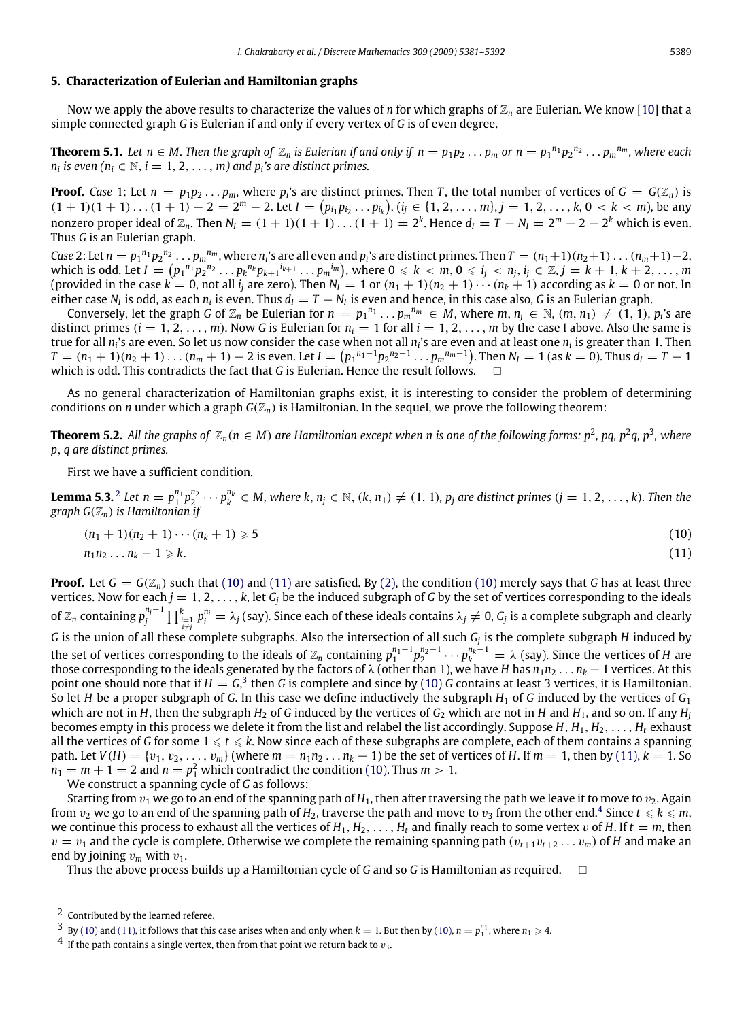#### **5. Characterization of Eulerian and Hamiltonian graphs**

Now we apply the above results to characterize the values of *n* for which graphs of  $\mathbb{Z}_n$  are Eulerian. We know [\[10\]](#page-11-7) that a simple connected graph *G* is Eulerian if and only if every vertex of *G* is of even degree.

**Theorem 5.1.** Let  $n\in M$ . Then the graph of  $\mathbb{Z}_n$  is Eulerian if and only if  $n=p_1p_2\ldots p_m$  or  $n=p_1^{n_1}p_2^{n_2}\ldots p_m^{n_m}$ , where each *n*<sub>*i*</sub> is even ( $n_i \in \mathbb{N}$ ,  $i = 1, 2, ..., m$ ) and  $p_i$ 's are distinct primes.

**Proof.** Case 1: Let  $n = p_1p_2...p_m$ , where  $p_i$ 's are distinct primes. Then *T*, the total number of vertices of  $G = G(\mathbb{Z}_n)$  is  $(1 + 1)(1 + 1)...(1 + 1) - 2 = 2<sup>m</sup> - 2$ . Let  $I = (p_{i_1}p_{i_2}...p_{i_k})$ ,  $(i_j \in \{1, 2, ..., m\}, j = 1, 2, ..., k, 0 < k < m)$ , be any nonzero proper ideal of  $\mathbb{Z}_n$ . Then  $N_I = (1 + 1)(1 + 1) \dots (1 + 1) = 2^k$ . Hence  $d_I = T - N_I = 2^m - 2 - 2^k$  which is even. Thus *G* is an Eulerian graph.

Case 2: Let  $n = p_1^{n_1}p_2^{n_2} \dots p_m^{n_m}$ , where  $n_i$ 's are all even and  $p_i$ 's are distinct primes. Then  $T = (n_1+1)(n_2+1)\dots(n_m+1)-2$ , which is odd. Let  $I=(p_1{}^{n_1}p_2{}^{n_2}\ldots p_k{}^{n_k}p_{k+1}{}^{i_{k+1}}\ldots p_m{}^{i_m}),$  where  $0\leqslant k< m,$   $0\leqslant i_j < n_j,$   $i_j\in \mathbb{Z},$   $j=k+1,k+2,\ldots,m$ (provided in the case  $k = 0$ , not all  $i_j$  are zero). Then  $N_I = 1$  or  $(n_1 + 1)(n_2 + 1) \cdots (n_k + 1)$  according as  $k = 0$  or not. In either case  $N_I$  is odd, as each  $n_i$  is even. Thus  $d_I = T - N_I$  is even and hence, in this case also, *G* is an Eulerian graph.

Conversely, let the graph G of  $\mathbb{Z}_n$  be Eulerian for  $n=p_1^{n_1}\ldots p_m^{n_m}\in M$ , where  $m,n_j\in\mathbb{N}$ ,  $(m,n_1)\neq(1,1)$ ,  $p_i$ 's are distinct primes  $(i = 1, 2, \ldots, m)$ . Now G is Eulerian for  $n_i = 1$  for all  $i = 1, 2, \ldots, m$  by the case I above. Also the same is true for all *n<sup>i</sup>* 's are even. So let us now consider the case when not all *n<sup>i</sup>* 's are even and at least one *n<sup>i</sup>* is greater than 1. Then  $T = (n_1 + 1)(n_2 + 1)\dots(n_m + 1) - 2$  is even. Let  $I = (p_1^{n_1-1}p_2^{n_2-1}\dots p_m^{n_m-1})$ . Then  $N_I = 1$  (as  $k = 0$ ). Thus  $d_I = T - 1$ which is odd. This contradicts the fact that *G* is Eulerian. Hence the result follows. □

As no general characterization of Hamiltonian graphs exist, it is interesting to consider the problem of determining conditions on *n* under which a graph  $G(\mathbb{Z}_n)$  is Hamiltonian. In the sequel, we prove the following theorem:

**Theorem 5.2.** All the graphs of  $\mathbb{Z}_n$ ( $n\in M$ ) are Hamiltonian except when  $n$  is one of the following forms:  $p^2$ , pq,  $p^2$ q, p $^3$ , where *p*, *q are distinct primes.*

<span id="page-8-6"></span><span id="page-8-5"></span>First we have a sufficient condition.

**Lemma 5.3.** <sup>[2](#page-8-0)</sup> Let  $n = p_1^{n_1} p_2^{n_2} \cdots p_k^{n_k} \in M$ , where k,  $n_j \in \mathbb{N}$ ,  $(k, n_1) \neq (1, 1)$ ,  $p_j$  are distinct primes  $(j = 1, 2, ..., k)$ . Then the *graph G*(Z*n*) *is Hamiltonian if*

<span id="page-8-2"></span><span id="page-8-1"></span>
$$
(n_1 + 1)(n_2 + 1)\cdots(n_k + 1) \geqslant 5
$$
\n(10)

$$
n_1 n_2 \dots n_k - 1 \geqslant k. \tag{11}
$$

**Proof.** Let  $G = G(\mathbb{Z}_n)$  such that [\(10\)](#page-8-1) and [\(11\)](#page-8-2) are satisfied. By [\(2\),](#page-6-2) the condition (10) merely says that *G* has at least three vertices. Now for each  $j = 1, 2, \ldots, k$ , let  $G_j$  be the induced subgraph of G by the set of vertices corresponding to the ideals of  $\Z_n$  containing  $p_j^{n_j-1}\prod_{i=1}^k p_i^{n_i}=\lambda_j$  (say). Since each of these ideals contains  $\lambda_j\neq 0$ ,  $G_j$  is a complete subgraph and clearly *G* is the union of all these complete subgraphs. Also the intersection of all such *G*<sub>*j*</sub> is the complete subgraph *H* induced by the set of vertices corresponding to the ideals of  $\mathbb{Z}_n$  containing  $p_1^{n_1-1}p_2^{n_2-1}\cdots p_k^{n_k-1}=\lambda$  (say). Since the vertices of *H* are those corresponding to the ideals generated by the factors of  $\lambda$  (other than 1), we have *H* has  $n_1n_2 \ldots n_k - 1$  vertices. At this point one should note that if  $H = G<sup>3</sup>$  $H = G<sup>3</sup>$  $H = G<sup>3</sup>$  then *G* is complete and since by [\(10\)](#page-8-1) *G* contains at least 3 vertices, it is Hamiltonian. So let *H* be a proper subgraph of *G*. In this case we define inductively the subgraph  $H_1$  of *G* induced by the vertices of  $G_1$ which are not in *H*, then the subgraph  $H_2$  of *G* induced by the vertices of  $G_2$  which are not in *H* and  $H_1$ , and so on. If any  $H_i$ becomes empty in this process we delete it from the list and relabel the list accordingly. Suppose  $H, H_1, H_2, \ldots, H_t$  exhaust all the vertices of G for some  $1 \leq t \leq k$ . Now since each of these subgraphs are complete, each of them contains a spanning path. Let  $V(H) = \{v_1, v_2, \ldots, v_m\}$  (where  $m = n_1 n_2 \ldots n_k - 1$ ) be the set of vertices of *H*. If  $m = 1$ , then by [\(11\),](#page-8-2)  $k = 1$ . So  $n_1 = m + 1 = 2$  and  $n = p_1^2$  which contradict the condition [\(10\).](#page-8-1) Thus  $m > 1$ .

We construct a spanning cycle of *G* as follows:

Starting from  $v_1$  we go to an end of the spanning path of  $H_1$ , then after traversing the path we leave it to move to  $v_2$ . Again from  $v_2$  we go to an end of the spanning path of  $H_2$ , traverse the path and move to  $v_3$  from the other end.<sup>[4](#page-8-4)</sup> Since  $t\leqslant k\leqslant m$ , we continue this process to exhaust all the vertices of  $H_1, H_2, \ldots, H_t$  and finally reach to some vertex v of *H*. If  $t = m$ , then  $v = v_1$  and the cycle is complete. Otherwise we complete the remaining spanning path  $(v_{t+1}v_{t+2} \ldots v_m)$  of *H* and make an end by joining  $v_m$  with  $v_1$ .

Thus the above process builds up a Hamiltonian cycle of *G* and so *G* is Hamiltonian as required.

<span id="page-8-0"></span><sup>2</sup> Contributed by the learned referee.

<span id="page-8-3"></span> $3$  By [\(10\)](#page-8-1) and [\(11\),](#page-8-2) it follows that this case arises when and only when  $k = 1$ . But then by [\(10\),](#page-8-1)  $n = p_1^{n_1}$ , where  $n_1 \ge 4$ .

<span id="page-8-4"></span> $4\,$  If the path contains a single vertex, then from that point we return back to  $v_3$ .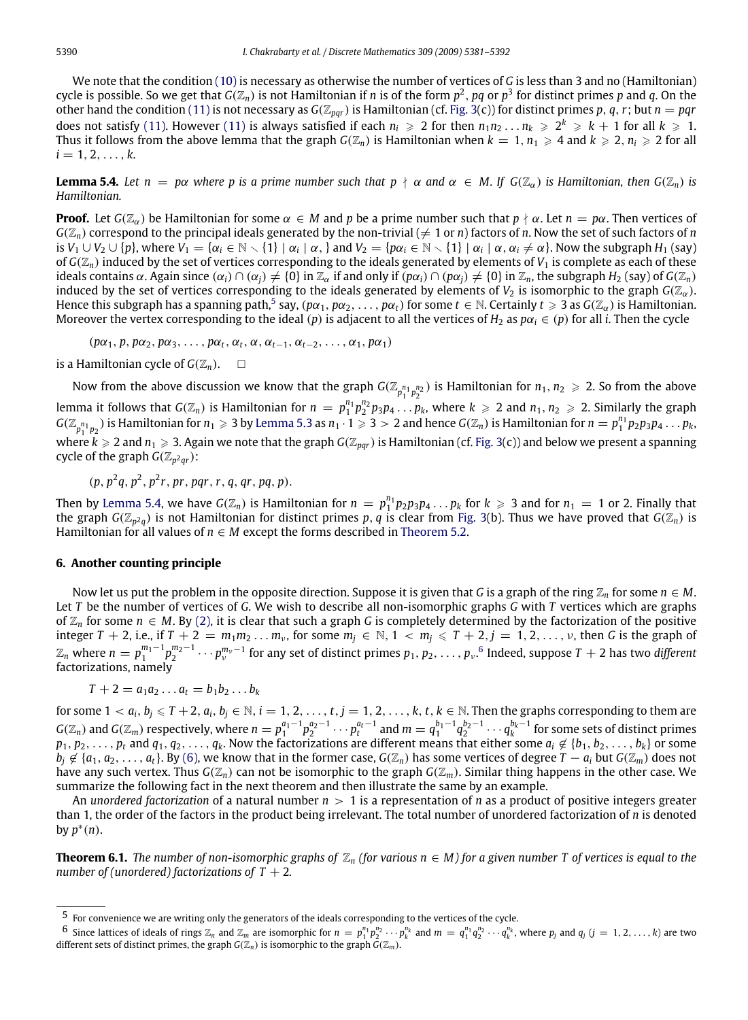We note that the condition [\(10\)](#page-8-1) is necessary as otherwise the number of vertices of *G* is less than 3 and no (Hamiltonian) cycle is possible. So we get that *G*(Z*n*) is not Hamiltonian if *n* is of the form *p* 2 , *pq* or *p* 3 for distinct primes *p* and *q*. On the other hand the condition [\(11\)](#page-8-2) is not necessary as  $G(\mathbb{Z}_{par})$  is Hamiltonian (cf. [Fig. 3\(](#page-4-4)c)) for distinct primes *p*, *q*, *r*; but  $n = pqr$ does not satisfy [\(11\).](#page-8-2) However [\(11\)](#page-8-2) is always satisfied if each  $n_i\geqslant 2$  for then  $n_1n_2\ldots n_k\geqslant 2^k\geqslant k+1$  for all  $k\geqslant 1$ . Thus it follows from the above lemma that the graph  $G(\mathbb{Z}_n)$  is Hamiltonian when  $k = 1$ ,  $n_1 \geq 4$  and  $k \geq 2$ ,  $n_i \geq 2$  for all  $i = 1, 2, \ldots, k$ .

<span id="page-9-1"></span>**Lemma 5.4.** *Let*  $n = p\alpha$  *where* p is a prime number such that  $p \nmid \alpha$  and  $\alpha \in M$ . If  $G(\mathbb{Z}_\alpha)$  is Hamiltonian, then  $G(\mathbb{Z}_n)$  is *Hamiltonian.*

**Proof.** Let  $G(\mathbb{Z}_{\alpha})$  be Hamiltonian for some  $\alpha \in M$  and p be a prime number such that  $p \nmid \alpha$ . Let  $n = p\alpha$ . Then vertices of  $G(\mathbb{Z}_n)$  correspond to the principal ideals generated by the non-trivial ( $\neq 1$  or *n*) factors of *n*. Now the set of such factors of *n* is  $V_1 \cup V_2 \cup \{p\}$ , where  $V_1 = \{\alpha_i \in \mathbb{N} \setminus \{1\} \mid \alpha_i \mid \alpha_j\}$  and  $V_2 = \{p\alpha_i \in \mathbb{N} \setminus \{1\} \mid \alpha_i \mid \alpha_j \neq \alpha\}$ . Now the subgraph  $H_1$  (say) of  $G(\mathbb{Z}_n)$  induced by the set of vertices corresponding to the ideals generated by elements of  $V_1$  is complete as each of these ideals contains  $\alpha$ . Again since  $(\alpha_i) \cap (\alpha_j) \neq \{0\}$  in  $\mathbb{Z}_\alpha$  if and only if  $(p\alpha_i) \cap (p\alpha_j) \neq \{0\}$  in  $\mathbb{Z}_n$ , the subgraph  $H_2$  (say) of  $G(\mathbb{Z}_n)$ induced by the set of vertices corresponding to the ideals generated by elements of  $V_2$  is isomorphic to the graph  $G(\mathbb{Z}_\alpha)$ . Hence this subgraph has a spanning path, $^5$  $^5$  say, ( $p\alpha_1,p\alpha_2,\ldots,p\alpha_t$ ) for some  $t\in\mathbb N.$  Certainly  $t\geqslant 3$  as  $G(\Bbb Z_\alpha)$  is Hamiltonian. Moreover the vertex corresponding to the ideal (*p*) is adjacent to all the vertices of  $H_2$  as  $p\alpha_i \in (p)$  for all *i*. Then the cycle

 $(p\alpha_1, p, p\alpha_2, p\alpha_3, \ldots, p\alpha_t, \alpha_t, \alpha, \alpha_{t-1}, \alpha_{t-2}, \ldots, \alpha_1, p\alpha_1)$ 

is a Hamiltonian cycle of  $G(\mathbb{Z}_n)$ .  $\square$ 

Now from the above discussion we know that the graph  $G(\mathbb{Z}_{p_1^{n_1}p_2^{n_2}})$  is Hamiltonian for  $n_1, n_2 \geqslant 2$ . So from the above lemma it follows that  $G(\mathbb{Z}_n)$  is Hamiltonian for  $n=p_1^{n_1}p_2^{n_2}p_3p_4\ldots p_k$ , where  $k\geqslant 2$  and  $n_1, n_2\geqslant 2$ . Similarly the graph  $G(\mathbb{Z}_{p_1^{n_1}p_2})$  is Hamiltonian for  $n_1\geqslant3$  by [Lemma 5.3](#page-8-5) as  $n_1\cdot1\geqslant3>2$  and hence  $G(\mathbb{Z}_n)$  is Hamiltonian for  $n=p_1^{n_1}p_2p_3p_4\ldots p_k$ , where  $k \geqslant 2$  and  $n_1 \geqslant 3$ . Again we note that the graph  $G(\mathbb{Z}_{pqr})$  is Hamiltonian (cf. [Fig. 3\(](#page-4-4)c)) and below we present a spanning cycle of the graph  $G(\mathbb{Z}_{p^2qr})$ :

 $(p, p^2q, p^2, p^2r, pr, pqr, r, q, qr, pq, p).$ 

Then by [Lemma 5.4,](#page-9-1) we have  $G(\mathbb{Z}_n)$  is Hamiltonian for  $n = p_1^{n_1}p_2p_3p_4\ldots p_k$  for  $k \geqslant 3$  and for  $n_1 = 1$  or 2. Finally that the graph *G*(Z*<sup>p</sup>* 2*q* ) is not Hamiltonian for distinct primes *p*, *q* is clear from [Fig. 3\(](#page-4-4)b). Thus we have proved that *G*(Z*n*) is Hamiltonian for all values of  $n \in M$  except the forms described in [Theorem 5.2.](#page-8-6)

#### **6. Another counting principle**

Now let us put the problem in the opposite direction. Suppose it is given that *G* is a graph of the ring  $\mathbb{Z}_n$  for some  $n \in M$ . Let *T* be the number of vertices of *G*. We wish to describe all non-isomorphic graphs *G* with *T* vertices which are graphs of  $\mathbb{Z}_n$  for some  $n \in M$ . By [\(2\),](#page-6-2) it is clear that such a graph G is completely determined by the factorization of the positive integer  $T + 2$ , i.e., if  $T + 2 = m_1 m_2 ... m_\nu$ , for some  $m_j \in \mathbb{N}, 1 < m_j \leq T + 2, j = 1, 2, ..., \nu$ , then *G* is the graph of  $\Z_n$  where  $n=p_1^{m_1-1}p_2^{m_2-1}\cdots p_v^{m_v-1}$  for any set of distinct primes  $p_1,p_2,\ldots,p_v.^6$  $p_1,p_2,\ldots,p_v.^6$  Indeed, suppose  $T+2$  has two different factorizations, namely

$$
T+2=a_1a_2\ldots a_t=b_1b_2\ldots b_k
$$

for some  $1 < a_i, b_j \le T+2, a_i, b_j \in \mathbb{N}$ ,  $i = 1, 2, ..., t, j = 1, 2, ..., k, t, k \in \mathbb{N}$ . Then the graphs corresponding to them are  $G(\mathbb{Z}_n)$  and  $G(\mathbb{Z}_m)$  respectively, where  $n=p_1^{a_1-1}p_2^{a_2-1}\cdots p_t^{a_t-1}$  and  $m=q_1^{b_1-1}q_2^{b_2-1}\cdots q_k^{b_k-1}$  for some sets of distinct primes  $p_1, p_2, \ldots, p_t$  and  $q_1, q_2, \ldots, q_k$ . Now the factorizations are different means that either some  $a_i \notin \{b_1, b_2, \ldots, b_k\}$  or some  $b_j \notin \{a_1, a_2, \ldots, a_t\}$ . By [\(6\),](#page-6-1) we know that in the former case,  $G(\mathbb{Z}_n)$  has some vertices of degree  $T - a_i$  but  $G(\mathbb{Z}_m)$  does not have any such vertex. Thus  $G(\mathbb{Z}_n)$  can not be isomorphic to the graph  $G(\mathbb{Z}_m)$ . Similar thing happens in the other case. We summarize the following fact in the next theorem and then illustrate the same by an example.

An *unordered factorization* of a natural number *n* > 1 is a representation of *n* as a product of positive integers greater than 1, the order of the factors in the product being irrelevant. The total number of unordered factorization of *n* is denoted by  $p^*(n)$ .

**Theorem 6.1.** *The number of non-isomorphic graphs of*  $\mathbb{Z}_n$  *(for various n*  $\in$  *M) for a given number T of vertices is equal to the number of (unordered) factorizations of T* + 2*.*

<span id="page-9-0"></span><sup>5</sup> For convenience we are writing only the generators of the ideals corresponding to the vertices of the cycle.

<span id="page-9-2"></span> $^6$  Since lattices of ideals of rings  $\mathbb{Z}_n$  and  $\mathbb{Z}_m$  are isomorphic for  $n=p_1^{n_1}p_2^{n_2}\cdots p_k^{n_k}$  and  $m=q_1^{n_1}q_2^{n_2}\cdots q_k^{n_k}$ , where  $p_j$  and  $q_j$   $(j=1,2,\ldots,k)$  are two different sets of distinct primes, the graph  $G(\mathbb{Z}_n)$  is isomorphic to the graph  $\bar{G}(\mathbb{Z}_m)$ .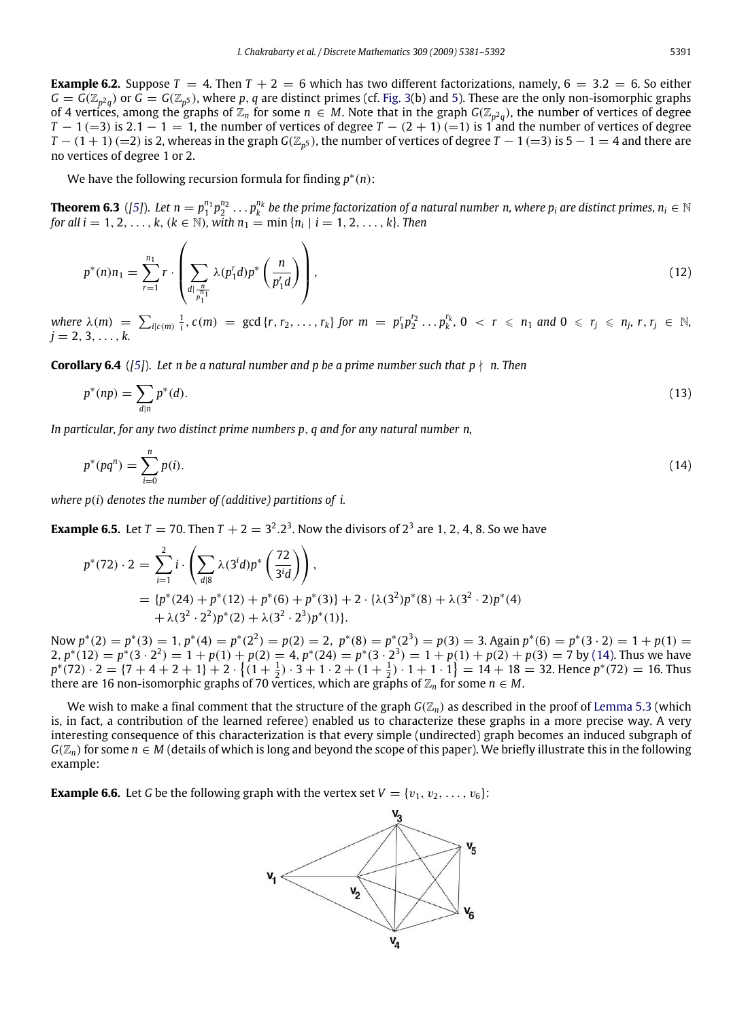**Example 6.2.** Suppose  $T = 4$ . Then  $T + 2 = 6$  which has two different factorizations, namely,  $6 = 3.2 = 6$ . So either  $G = G(\mathbb{Z}_{p^2q})$  or  $G = G(\mathbb{Z}_{p^5})$ , where p, q are distinct primes (cf. [Fig. 3\(](#page-4-4)b) and [5\)](#page-5-1). These are the only non-isomorphic graphs of 4 vertices, among the graphs of  $\mathbb{Z}_n$  for some  $n\in M.$  Note that in the graph  $G(\mathbb{Z}_{p^2q})$ , the number of vertices of degree *T* − 1 (=3) is 2.1 − 1 = 1, the number of vertices of degree *T* − (2 + 1) (=1) is 1 and the number of vertices of degree *T* − (1 + 1) (=2) is 2, whereas in the graph *G*( $\mathbb{Z}_{p^5}$ ), the number of vertices of degree *T* − 1 (=3) is 5 − 1 = 4 and there are no vertices of degree 1 or 2.

We have the following recursion formula for finding *p* ∗ (*n*):

**Theorem 6.3** ([\[5\]](#page-11-8)). Let  $n=p_1^{n_1}p_2^{n_2}\ldots p_k^{n_k}$  be the prime factorization of a natural number n, where  $p_i$  are distinct primes,  $n_i\in\mathbb{N}$ *for all i* = 1, 2, ..., *k*, ( $k \in \mathbb{N}$ ), with  $n_1 = \min\{n_i \mid i = 1, 2, ..., k\}$ . Then

$$
p^*(n)n_1 = \sum_{r=1}^{n_1} r \cdot \left( \sum_{\substack{d \mid \frac{n}{p_1}} \lambda(p_1^r d) p^*} {\binom{n}{p_1^r d}} \right), \tag{12}
$$

where  $\lambda(m) = \sum_{i | c(m)} \frac{1}{i}$ ,  $c(m) = \gcd\{r, r_2, \ldots, r_k\}$  for  $m = p_1^r p_2^{r_2} \ldots p_k^{r_k}$ ,  $0 < r \leq n_1$  and  $0 \leq r_j \leq n_j$ ,  $r, r_j \in \mathbb{N}$ ,  $j = 2, 3, \ldots, k.$ 

**Corollary 6.4** (*[\[5\]](#page-11-8)*). Let n be a natural number and p be a prime number such that  $p \nmid n$ . Then

$$
p^*(np) = \sum_{d|n} p^*(d). \tag{13}
$$

*In particular, for any two distinct prime numbers p*, *q and for any natural number n,*

$$
p^*(pq^n) = \sum_{i=0}^n p(i). \tag{14}
$$

*where p*(*i*) *denotes the number of (additive) partitions of i.*

**Example 6.5.** Let  $T = 70$ . Then  $T + 2 = 3^2 \cdot 2^3$ . Now the divisors of  $2^3$  are 1, 2, 4, 8. So we have

$$
p^*(72) \cdot 2 = \sum_{i=1}^2 i \cdot \left( \sum_{d|8} \lambda(3^i d) p^* \left( \frac{72}{3^i d} \right) \right),
$$
  
= { $p^*(24) + p^*(12) + p^*(6) + p^*(3)$ } + 2 \cdot { $\lambda(3^2)p^*(8) + \lambda(3^2 \cdot 2)p^*(4)$   
+  $\lambda(3^2 \cdot 2^2)p^*(2) + \lambda(3^2 \cdot 2^3)p^*(1)$ }

Now  $p^*(2) = p^*(3) = 1$ ,  $p^*(4) = p^*(2^2) = p(2) = 2$ ,  $p^*(8) = p^*(2^3) = p(3) = 3$ . Again  $p^*(6) = p^*(3 \cdot 2) = 1 + p(1) = 3$ 2,  $p^*(12) = p^*(3 \cdot 2^2) = 1 + p(1) + p(2) = 4$ ,  $p^*(24) = p^*(3 \cdot 2^3) = 1 + p(1) + p(2) + p(3) = 7$  by [\(14\).](#page-10-0) Thus we have  $p^*(72) \cdot 2 = \{7+4+2+1\} + 2 \cdot \{(1+\frac{1}{2}) \cdot 3 + 1 \cdot 2 + (1+\frac{1}{2}) \cdot 1 + 1 \cdot 1\} = 14 + 18 = 32$ . Hence  $p^*(72) = 16$ . Thus there are 16 non-isomorphic graphs of 70 vertices, which are graphs of  $\mathbb{Z}_n$  for some  $n \in M$ .

We wish to make a final comment that the structure of the graph  $G(\mathbb{Z}_n)$  as described in the proof of [Lemma 5.3](#page-8-5) (which is, in fact, a contribution of the learned referee) enabled us to characterize these graphs in a more precise way. A very interesting consequence of this characterization is that every simple (undirected) graph becomes an induced subgraph of  $G(\mathbb{Z}_n)$  for some  $n \in M$  (details of which is long and beyond the scope of this paper). We briefly illustrate this in the following example:

**Example 6.6.** Let *G* be the following graph with the vertex set  $V = \{v_1, v_2, \ldots, v_6\}$ :

<span id="page-10-0"></span>